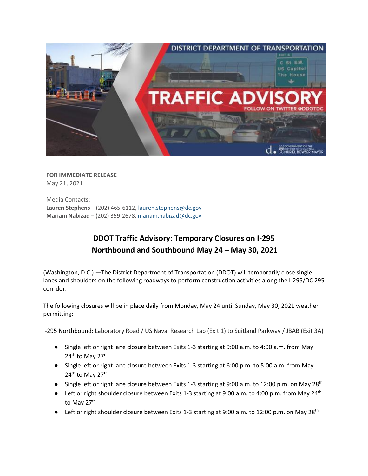

**FOR IMMEDIATE RELEASE** May 21, 2021

Media Contacts: **Lauren Stephens** – (202) 465-6112[, lauren.stephens@dc.gov](mailto:lauren.stephens@dc.gov) **Mariam Nabizad** – (202) 359-2678, [mariam.nabizad@dc.gov](mailto:mariam.nabizad@dc.gov)

## **DDOT Traffic Advisory: Temporary Closures on I-295 Northbound and Southbound May 24 – May 30, 2021**

(Washington, D.C.) —The District Department of Transportation (DDOT) will temporarily close single lanes and shoulders on the following roadways to perform construction activities along the I-295/DC 295 corridor.

The following closures will be in place daily from Monday, May 24 until Sunday, May 30, 2021 weather permitting:

I-295 Northbound: Laboratory Road / US Naval Research Lab (Exit 1) to Suitland Parkway / JBAB (Exit 3A)

- Single left or right lane closure between Exits 1-3 starting at 9:00 a.m. to 4:00 a.m. from May 24<sup>th</sup> to May 27<sup>th</sup>
- Single left or right lane closure between Exits 1-3 starting at 6:00 p.m. to 5:00 a.m. from May 24<sup>th</sup> to May 27<sup>th</sup>
- Single left or right lane closure between Exits 1-3 starting at 9:00 a.m. to 12:00 p.m. on May 28<sup>th</sup>
- Left or right shoulder closure between Exits 1-3 starting at 9:00 a.m. to 4:00 p.m. from May 24<sup>th</sup> to May 27<sup>th</sup>
- Left or right shoulder closure between Exits 1-3 starting at 9:00 a.m. to 12:00 p.m. on May 28<sup>th</sup>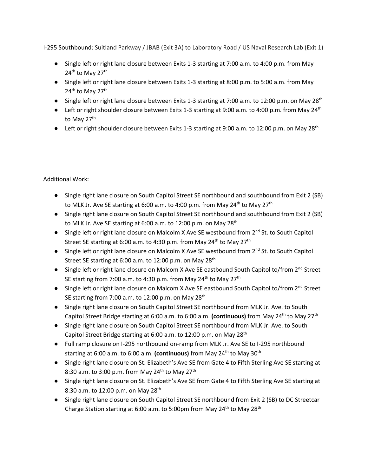I-295 Southbound: Suitland Parkway / JBAB (Exit 3A) to Laboratory Road / US Naval Research Lab (Exit 1)

- Single left or right lane closure between Exits 1-3 starting at 7:00 a.m. to 4:00 p.m. from May 24<sup>th</sup> to May 27<sup>th</sup>
- Single left or right lane closure between Exits 1-3 starting at 8:00 p.m. to 5:00 a.m. from May 24<sup>th</sup> to May 27<sup>th</sup>
- Single left or right lane closure between Exits 1-3 starting at 7:00 a.m. to 12:00 p.m. on May 28<sup>th</sup>
- Left or right shoulder closure between Exits 1-3 starting at 9:00 a.m. to 4:00 p.m. from May 24<sup>th</sup> to May 27<sup>th</sup>
- Left or right shoulder closure between Exits 1-3 starting at 9:00 a.m. to 12:00 p.m. on May 28<sup>th</sup>

## Additional Work:

- Single right lane closure on South Capitol Street SE northbound and southbound from Exit 2 (SB) to MLK Jr. Ave SE starting at 6:00 a.m. to 4:00 p.m. from May 24<sup>th</sup> to May 27<sup>th</sup>
- Single right lane closure on South Capitol Street SE northbound and southbound from Exit 2 (SB) to MLK Jr. Ave SE starting at 6:00 a.m. to 12:00 p.m. on May 28<sup>th</sup>
- Single left or right lane closure on Malcolm X Ave SE westbound from  $2^{nd}$  St. to South Capitol Street SE starting at 6:00 a.m. to 4:30 p.m. from May 24<sup>th</sup> to May 27<sup>th</sup>
- Single left or right lane closure on Malcolm X Ave SE westbound from 2<sup>nd</sup> St. to South Capitol Street SE starting at 6:00 a.m. to 12:00 p.m. on May 28<sup>th</sup>
- Single left or right lane closure on Malcom X Ave SE eastbound South Capitol to/from 2<sup>nd</sup> Street SE starting from 7:00 a.m. to 4:30 p.m. from May 24<sup>th</sup> to May 27<sup>th</sup>
- Single left or right lane closure on Malcom X Ave SE eastbound South Capitol to/from 2<sup>nd</sup> Street SE starting from 7:00 a.m. to 12:00 p.m. on May 28<sup>th</sup>
- Single right lane closure on South Capitol Street SE northbound from MLK Jr. Ave. to South Capitol Street Bridge starting at 6:00 a.m. to 6:00 a.m. **(continuous)** from May 24th to May 27th
- Single right lane closure on South Capitol Street SE northbound from MLK Jr. Ave. to South Capitol Street Bridge starting at 6:00 a.m. to 12:00 p.m. on May 28<sup>th</sup>
- Full ramp closure on I-295 northbound on-ramp from MLK Jr. Ave SE to I-295 northbound starting at 6:00 a.m. to 6:00 a.m. (continuous) from May 24<sup>th</sup> to May 30<sup>th</sup>
- Single right lane closure on St. Elizabeth's Ave SE from Gate 4 to Fifth Sterling Ave SE starting at 8:30 a.m. to 3:00 p.m. from May 24<sup>th</sup> to May 27<sup>th</sup>
- Single right lane closure on St. Elizabeth's Ave SE from Gate 4 to Fifth Sterling Ave SE starting at 8:30 a.m. to 12:00 p.m. on May 28<sup>th</sup>
- Single right lane closure on South Capitol Street SE northbound from Exit 2 (SB) to DC Streetcar Charge Station starting at 6:00 a.m. to 5:00pm from May 24<sup>th</sup> to May 28<sup>th</sup>